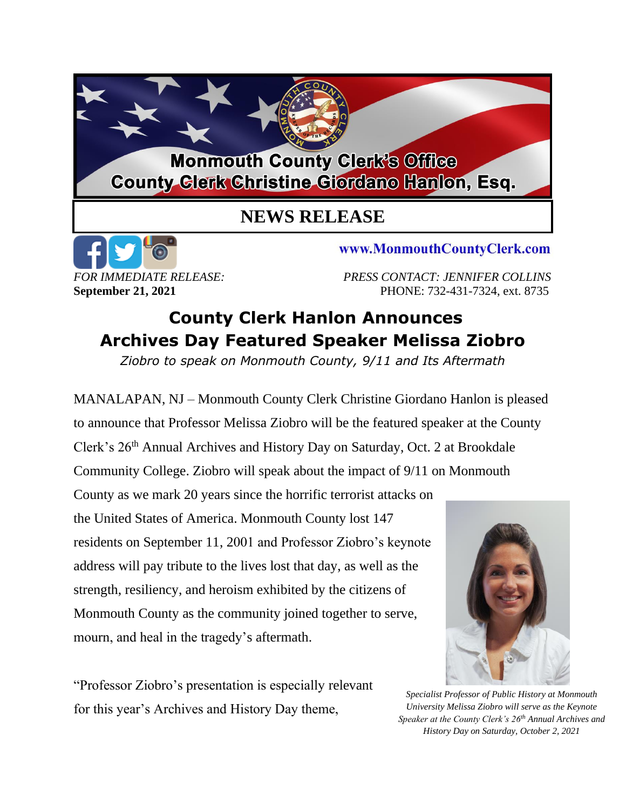## **Monmouth County Clerk's Office County Glerk Christine Giordano Hanlon, Esq.**

## **NEWS RELEASE**



www.MonmouthCountyClerk.com

*FOR IMMEDIATE RELEASE: PRESS CONTACT: JENNIFER COLLINS* **September 21, 2021 PHONE: 732-431-7324, ext. 8735** 

## **County Clerk Hanlon Announces Archives Day Featured Speaker Melissa Ziobro**

*Ziobro to speak on Monmouth County, 9/11 and Its Aftermath*

MANALAPAN, NJ – Monmouth County Clerk Christine Giordano Hanlon is pleased to announce that Professor Melissa Ziobro will be the featured speaker at the County Clerk's 26<sup>th</sup> Annual Archives and History Day on Saturday, Oct. 2 at Brookdale Community College. Ziobro will speak about the impact of 9/11 on Monmouth County as we mark 20 years since the horrific terrorist attacks on the United States of America. Monmouth County lost 147 residents on September 11, 2001 and Professor Ziobro's keynote address will pay tribute to the lives lost that day, as well as the strength, resiliency, and heroism exhibited by the citizens of Monmouth County as the community joined together to serve, mourn, and heal in the tragedy's aftermath.

"Professor Ziobro's presentation is especially relevant for this year's Archives and History Day theme,



*Specialist Professor of Public History at Monmouth University Melissa Ziobro will serve as the Keynote Speaker at the County Clerk's 26th Annual Archives and History Day on Saturday, October 2, 2021*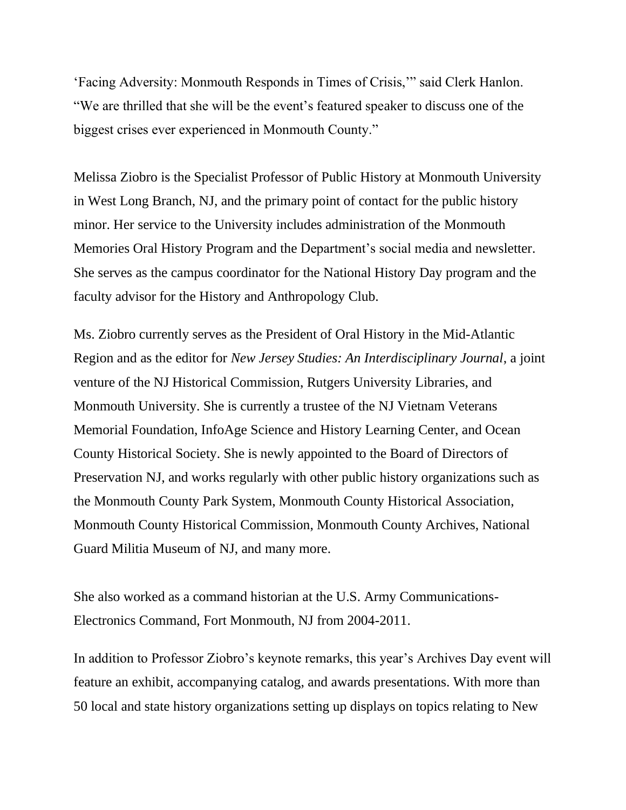'Facing Adversity: Monmouth Responds in Times of Crisis,'" said Clerk Hanlon. "We are thrilled that she will be the event's featured speaker to discuss one of the biggest crises ever experienced in Monmouth County."

Melissa Ziobro is the Specialist Professor of Public History at Monmouth University in West Long Branch, NJ, and the primary point of contact for the public history minor. Her service to the University includes administration of the Monmouth Memories Oral History Program and the Department's social media and newsletter. She serves as the campus coordinator for the National History Day program and the faculty advisor for the History and Anthropology Club.

Ms. Ziobro currently serves as the President of Oral History in the Mid-Atlantic Region and as the editor for *New Jersey Studies: An Interdisciplinary Journal*, a joint venture of the NJ Historical Commission, Rutgers University Libraries, and Monmouth University. She is currently a trustee of the NJ Vietnam Veterans Memorial Foundation, InfoAge Science and History Learning Center, and Ocean County Historical Society. She is newly appointed to the Board of Directors of Preservation NJ, and works regularly with other public history organizations such as the Monmouth County Park System, Monmouth County Historical Association, Monmouth County Historical Commission, Monmouth County Archives, National Guard Militia Museum of NJ, and many more.

She also worked as a command historian at the U.S. Army Communications-Electronics Command, Fort Monmouth, NJ from 2004-2011.

In addition to Professor Ziobro's keynote remarks, this year's Archives Day event will feature an exhibit, accompanying catalog, and awards presentations. With more than 50 local and state history organizations setting up displays on topics relating to New